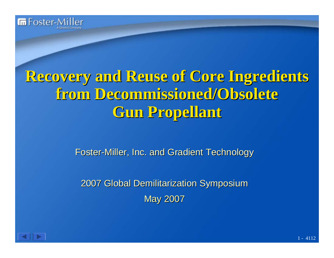

# **Recovery and Reuse of Core Ingredients Recovery and Reuse of Core Ingredients from Decommissioned/Obsolete from Decommissioned/Obsolete Gun Propellant Gun Propellant**

Foster-Miller, Inc. and Gradient Technology

2007 Global Demilitarization Symposium 2007 Global Demilitarization Symposium **May 2007** 

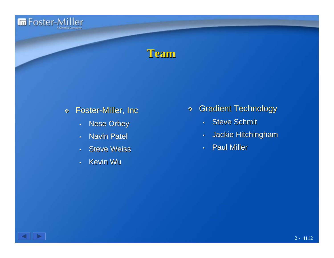

#### **Team**

- Foster-Miller, Inc.
	- •**Nese Orbey**
	- •• Navin Patel
	- •• Steve Weiss
	- •• Kevin Wu
- **Gradient Technology** 
	- •Steve Schmit
	- •Jackie Hitchingham
	- •**Paul Miller**

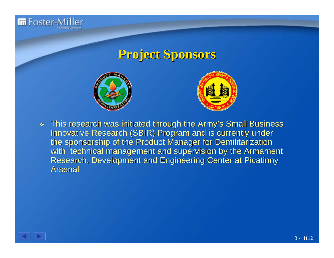

#### **Project Sponsors Project Sponsors**





 $\mathbf{Q}$ This research was initiated through the Army's Small Business Innovative Research (SBIR) Program and is currently under the sponsorship of the Product Manager for Demilitarization with technical management and supervision by the Armament Research, Development and Engineering Center at Picatinny **Arsenal** 

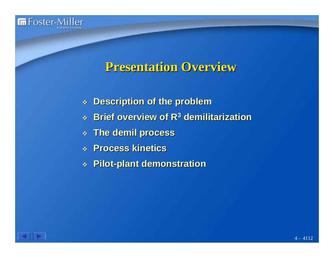

#### **Presentation Overview Presentation Overview**

- **Description of the problem Description of the problem**
- **Brief overview of R Brief overview of R 3 demilitarization demilitarization**
- **The demil process process**
- **Process kinetics Process kinetics**
- **Pilot -plant demonstration plant demonstration**

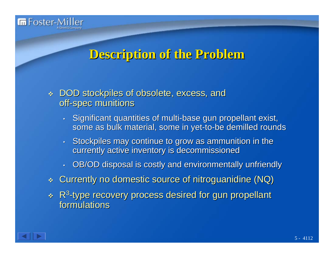

#### **Description of the Problem Description of the Problem**

- DOD stockpiles of obsolete, excess, and off-spec munitions
	- •• Significant quantities of multi-base gun propellant exist, some as bulk material, some in yet-to-be demilled rounds
	- $\bm{\cdot}$  Stockpiles may continue to grow as ammunition in the currently active inventory is decommissioned
	- •OB/OD disposal is costly and environmentally unfriendly
- $\mathbf{v}_\mathrm{c}$ Currently no domestic source of nitroguanidine (NQ)
- R 3 -type recovery process desired for gun propellant formulations formulations

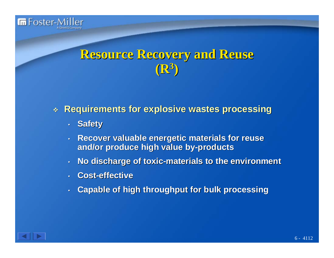

#### **Resource Recovery and Reuse Resource Recovery and Reuse (R 3 )**

#### **Requirements for explosive wastes processing Requirements for explosive wastes processing**

- **Safety**
- • **Recover valuable energetic materials for reuse Recover valuable energetic materials for reuse and/or produce high value by and/or produce high value by -products products**
- •**No discharge of toxic No discharge of toxic -materials to the environment materials to the environment**
- •**.** Cost-effective
- •**Capable of high throughput for bulk processing Capable of high throughput for bulk processing**

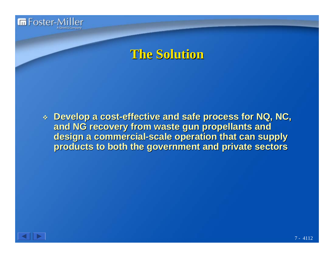

#### **The Solution The Solution**

 **Develop a cost Develop a cost-effective and safe process for NQ, NC, effective and safe process for NQ, NC,**  and NG recovery from waste gun propellants and **design a commercial-scale operation that can supply products to both the government and private sectors products to both the government and private sectors**

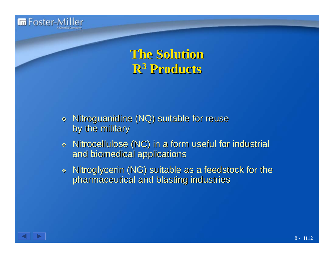

**The Solution The Solution R<sup>3</sup> Products Products**

- \* Nitroguanidine (NQ) suitable for reuse by the military
- $\mathcal{L}_{\mathcal{S}}$ Nitrocellulose (NC) in a form useful for industrial and biomedical applications and biomedical applications
- \* Nitroglycerin (NG) suitable as a feedstock for the pharmaceutical and blasting industries

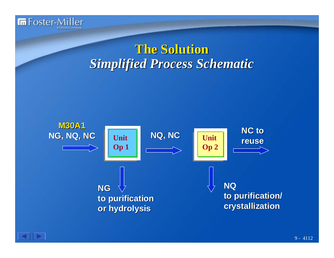

## **The Solution The Solution** *Simplified Process Schematic Simplified Process Schematic*



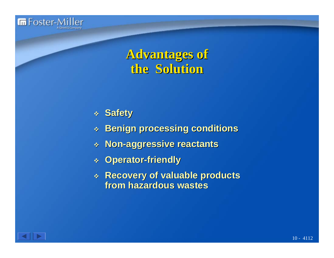

#### **Advantages of Advantages of the Solution the Solution**

- **Safety**
- **Benign processing conditions Benign processing conditions**
- **Non -aggressive reactants aggressive reactants**
- **Operator Operator -friendly friendly**
- **Recovery of valuable products Recovery of valuable products from hazardous wastes from hazardous wastes**

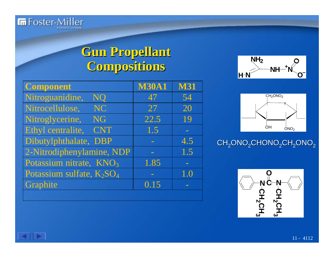

## **Gun Propellant Compositions Compositions**

| <b>Component</b>                                  | <b>M30A1</b> | <b>M31</b> |
|---------------------------------------------------|--------------|------------|
| Nitroguanidine,<br><b>NQ</b>                      | 47           | 54         |
| Nitrocellulose,<br><b>NC</b>                      | 27           | 20         |
| Nitroglycerine,<br><b>NG</b>                      | 22.5         | 19         |
| Ethyl centralite,<br><b>CNT</b>                   | 1.5          |            |
| Dibutylphthalate, DBP                             |              | 4.5        |
| 2-Nitrodiphenylamine, NDP                         |              | 1.5        |
| Potassium nitrate, KNO <sub>3</sub>               | 1.85         |            |
| Potassium sulfate, K <sub>2</sub> SO <sub>4</sub> |              | 1.0        |
| Graphite                                          | 0.15         |            |
|                                                   |              |            |





#### CH<sub>2</sub>ONO<sub>2</sub>CHONO<sub>2</sub>CH<sub>2</sub>ONO<sub>2</sub>

$$
\begin{array}{|c|}\n\hline\n\text{C} + \text{C} + \text{2} \text{CH}_2\text{CH}_3 \\
\hline\n\text{C} + \text{C} + \text{2} \text{CH}_2\text{CH}_3 \\
\hline\n\text{C} + \text{2} \text{CH}_2\text{CH}_3\n\end{array}
$$

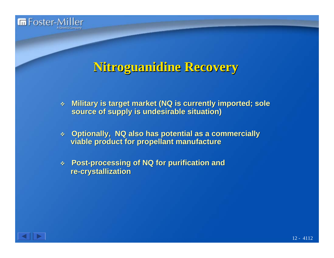

## **Nitroguanidine Recovery**

- $\mathcal{A}^{\text{c}}_{\text{c}}$  . **Military is target market (NQ is currently imported; sole source of supply is undesirable situation source of supply is undesirable situation )**
- **Optionally, NQ also has potential as a commercially viable product for propellant manufacture viable product for propellant manufacture**
- $\mathbf{A}$  **Post -processing of NQ for purification and processing of NQ for purification and re -crystallization crystallization**

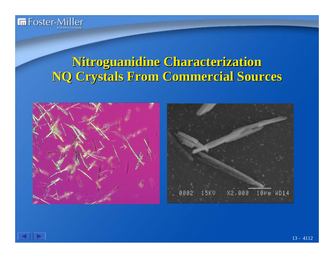

#### **Nitroguanidine Characterization Nitroguanidine Characterization NQ Crystals From Commercial Sources NQ Crystals From Commercial Sources**







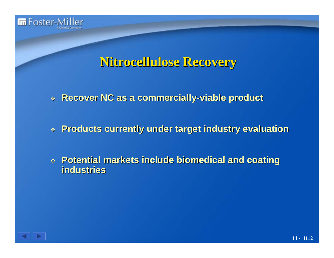

#### **Nitrocellulose Recovery Nitrocellulose Recovery**

**Recover NC as a commercially Recover NC as a commercially -viable product viable product**

**Products currently under target industry evaluation Products currently under target industry evaluation**

 **Potential markets include biomedical and coating Potential markets include biomedical and coating industries industries**

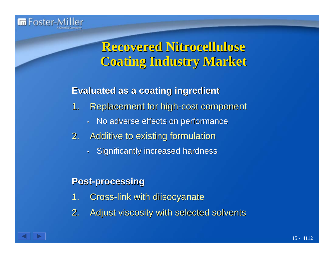

## **Recovered Nitrocellulose Recovered Nitrocellulose Coating Industry Market Coating Industry Market**

#### **Evaluated as a coating ingredient Evaluated as a coating ingredient**

- 1. Replacement for high-cost component
	- •No adverse effects on performance
- 2. Additive to existing formulation
	- $\cdot$  Significantly increased hardness

#### **Post -processing processing**

- 1. Cross-link with diisocyanate
- 2. Adjust viscosity with selected solvents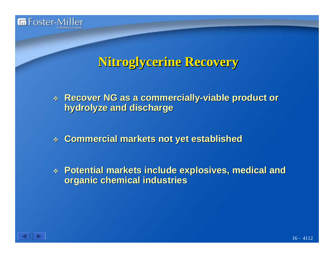

### **Nitroglycerine Recovery Nitroglycerine Recovery**

- **Recover NG as a commercially Recover NG as a commercially -viable product or viable product or hydrolyze and discharge hydrolyze and discharge**
- **Commercial markets not yet established Commercial markets not yet established**
- $\begin{array}{c} \ast \end{array}$  Potential markets include explosives, medical and **organic chemical industries organic chemical industries**

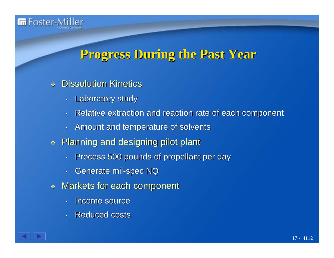

#### **Progress During the Past Year Progress During the Past Year**

#### $\mathcal{L}_{\mathcal{D}}$ **Dissolution Kinetics**

- •Laboratory study
- •Relative extraction and reaction rate of each component
- •Amount and temperature of solvents
- $\;\ast\;$  Planning and designing pilot plant
	- •Process 500 pounds of propellant per day
	- • $\cdot$  Generate mil-spec NQ
- $\mathcal{R}_{\mathcal{P}}$ **Markets for each component** 
	- •• Income source
	- •• Reduced costs

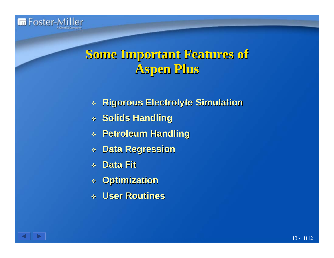

## **Some Important Features of Some Important Features of Aspen Plus Aspen Plus**

- **Rigorous Electrolyte Simulation Rigorous Electrolyte Simulation**
- $\triangleleft$  Solids Handling
- **Petroleum Handling Petroleum Handling**
- **Data Regression Data Regression**
- **Data Fit Data Fit**
- $\frac{1}{2}$ **Optimization Optimization**
- **User Routines User Routines**

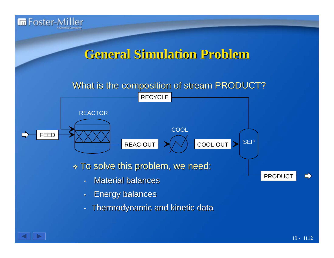

#### **General Simulation Problem General Simulation Problem**

#### What is the composition of stream PRODUCT?



 $\ast$  To solve this problem, we need:

- • $\bm{\cdot}$  Material balances
- •Energy balances Energy balances
- •Thermodynamic and kinetic data



PRODUCT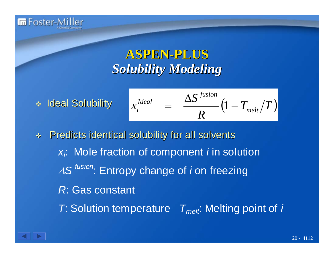

\* Ideal Solubility

$$
x_i^{Ideal} = \frac{\Delta S^{fusion}}{R} (1 - T_{melt}/T)
$$

Predicts identical solubility for all solvents *xi*: Mole fraction of component *i* in solution <sup>Δ</sup>*S fusion*: Entropy change of *i* on freezing *R*: Gas constant *T*: Solution temperature  $T_{melt}$ : Melting point of *i* 

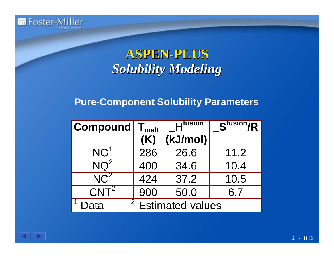

#### **Pure-Component Solubility Parameters**

| Compound         | $\mathsf{T}_{\mathsf{melt}}$              | <b>H</b> <sup>fusion</sup> | $\overline{S^{fusion}/R}$ |  |
|------------------|-------------------------------------------|----------------------------|---------------------------|--|
|                  | (K)                                       | (kJ/mol)                   |                           |  |
| NG <sup>1</sup>  | 286                                       | 26.6                       | 11.2                      |  |
| $NQ^2$           | 400                                       | 34.6                       | 10.4                      |  |
| NC <sup>2</sup>  | 424                                       | 37.2                       | 10.5                      |  |
| CNT <sup>2</sup> | 900                                       | 50.0                       | 6.7                       |  |
| Data             | 2 <sup>1</sup><br><b>Estimated values</b> |                            |                           |  |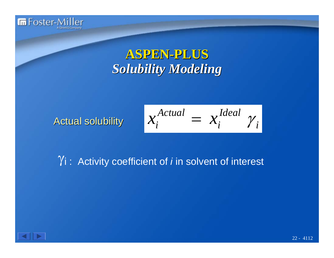

Actual solubility Actual solubility *<sup>i</sup>*

$$
x_i^{Actual} = x_i^{Ideal} \gamma_i
$$

#### γi : Activity coefficient of *i* in solvent of interest

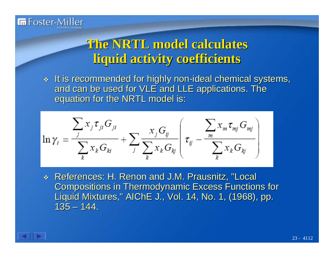

## **The NRTL model calculates liquid activity coefficients liquid activity coefficients**

 $\ast$  It is recommended for highly non-ideal chemical systems, and can be used for VLE and LLE applications. The equation for the NRTL model is:

$$
\ln \gamma_i = \frac{\sum_j x_j \tau_{ji} G_{ji}}{\sum_k x_k G_{ki}} + \sum_j \frac{x_j G_{ij}}{\sum_k x_k G_{kj}} \left( \tau_{ij} - \frac{\sum_j x_m \tau_{mj} G_{mj}}{\sum_k x_k G_{kj}} \right)
$$

\* References: H. Renon and J.M. Prausnitz, "Local **Compositions in Thermodynamic Excess Functions for** Liquid Mixtures," AIChE J., Vol. 14, No. 1, (1968), pp. 135– 144.

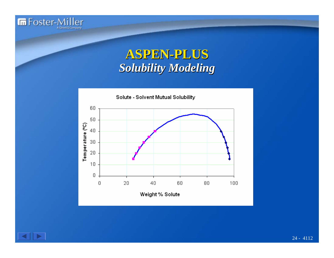



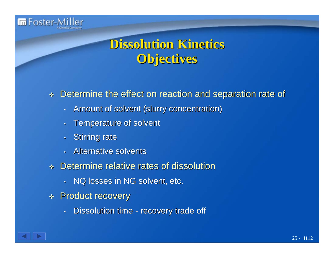

## **Dissolution Kinetics Dissolution Kinetics Objectives**

#### $\mathcal{L}$ Determine the effect on reaction and separation rate of

- •Amount of solvent (slurry concentration)
- •Temperature of solvent
- $\epsilon$ **Stirring rate**
- $\bullet$ **• Alternative solvents**
- \* Determine relative rates of dissolution
	- $\boldsymbol{\cdot}$  NQ losses in NG solvent, etc.
- \* Product recovery
	- • $\,\cdot\,$  Dissolution time -- recovery trade off

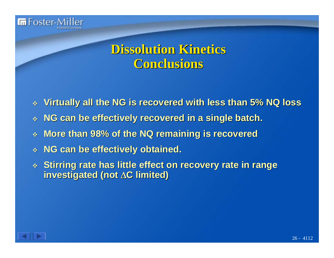

## **Dissolution Kinetics Dissolution Kinetics Conclusions Conclusions**

- **Virtually all the NG is recovered with less than 5% NQ loss**
- $\frac{\partial^2 u}{\partial x^2}$ **NG can be effectively recovered in a single batch.**
- $\frac{1}{2}$ **More than 98% of the NQ remaining is recovered**
- **NG can be effectively obtained. NG can be effectively obtained.**
- $\textcolor{red}{\ast}$  Stirring rate has little effect on recovery rate in range **investigated (not investigated (not**  Δ **C limited) limited)**

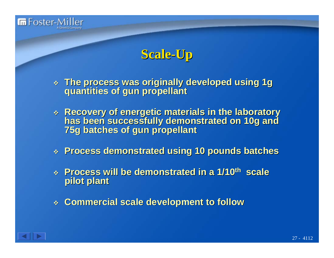

#### **Scale-Up**

- **The process was originally developed using 1g The process was originally developed using 1g quantities of gun propellant quantities of gun propellant**
- \* Recovery of energetic materials in the laboratory has been successfully demonstrated on 10g and<br>75g batches of gun propellant
- **Process demonstrated using 10 pounds batches Process demonstrated using 10 pounds batches**
- **Process will be demonstrated in a 1/10 Process will be demonstrated in a 1/10th scale pilot plant pilot plant**
- **Commercial scale development to follow Commercial scale development to follow**